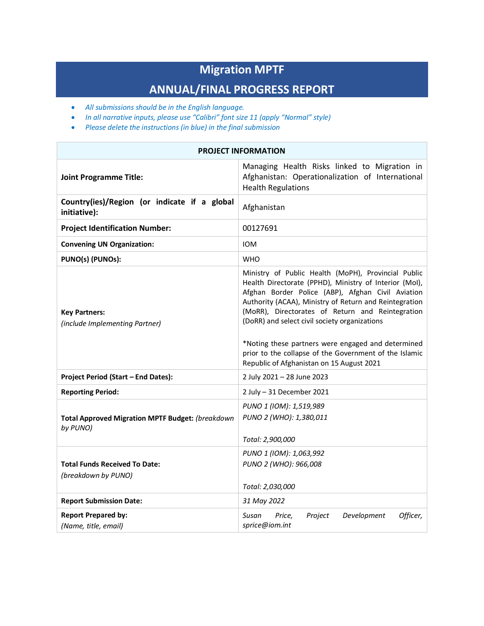# **Migration MPTF**

# **ANNUAL/FINAL PROGRESS REPORT**

- *All submissions should be in the English language.*
- *In all narrative inputs, please use "Calibri" font size 11 (apply "Normal" style)*
- *Please delete the instructions (in blue) in the final submission*

| <b>PROJECT INFORMATION</b>                                          |                                                                                                                                                                                                                                                                                                                                                                                                                                                                                                |  |  |  |
|---------------------------------------------------------------------|------------------------------------------------------------------------------------------------------------------------------------------------------------------------------------------------------------------------------------------------------------------------------------------------------------------------------------------------------------------------------------------------------------------------------------------------------------------------------------------------|--|--|--|
| <b>Joint Programme Title:</b>                                       | Managing Health Risks linked to Migration in<br>Afghanistan: Operationalization of International<br><b>Health Regulations</b>                                                                                                                                                                                                                                                                                                                                                                  |  |  |  |
| Country(ies)/Region (or indicate if a global<br>initiative):        | Afghanistan                                                                                                                                                                                                                                                                                                                                                                                                                                                                                    |  |  |  |
| <b>Project Identification Number:</b>                               | 00127691                                                                                                                                                                                                                                                                                                                                                                                                                                                                                       |  |  |  |
| <b>Convening UN Organization:</b>                                   | <b>IOM</b>                                                                                                                                                                                                                                                                                                                                                                                                                                                                                     |  |  |  |
| PUNO(s) (PUNOs):                                                    | <b>WHO</b>                                                                                                                                                                                                                                                                                                                                                                                                                                                                                     |  |  |  |
| <b>Key Partners:</b><br>(include Implementing Partner)              | Ministry of Public Health (MoPH), Provincial Public<br>Health Directorate (PPHD), Ministry of Interior (Mol),<br>Afghan Border Police (ABP), Afghan Civil Aviation<br>Authority (ACAA), Ministry of Return and Reintegration<br>(MoRR), Directorates of Return and Reintegration<br>(DoRR) and select civil society organizations<br>*Noting these partners were engaged and determined<br>prior to the collapse of the Government of the Islamic<br>Republic of Afghanistan on 15 August 2021 |  |  |  |
| Project Period (Start - End Dates):                                 | 2 July 2021 - 28 June 2023                                                                                                                                                                                                                                                                                                                                                                                                                                                                     |  |  |  |
| <b>Reporting Period:</b>                                            | 2 July $-31$ December 2021                                                                                                                                                                                                                                                                                                                                                                                                                                                                     |  |  |  |
| <b>Total Approved Migration MPTF Budget: (breakdown</b><br>by PUNO) | PUNO 1 (IOM): 1,519,989<br>PUNO 2 (WHO): 1,380,011<br>Total: 2,900,000                                                                                                                                                                                                                                                                                                                                                                                                                         |  |  |  |
| <b>Total Funds Received To Date:</b><br>(breakdown by PUNO)         | PUNO 1 (IOM): 1,063,992<br>PUNO 2 (WHO): 966,008<br>Total: 2,030,000                                                                                                                                                                                                                                                                                                                                                                                                                           |  |  |  |
| <b>Report Submission Date:</b>                                      | 31 May 2022                                                                                                                                                                                                                                                                                                                                                                                                                                                                                    |  |  |  |
| <b>Report Prepared by:</b><br>(Name, title, email)                  | Susan<br>Project<br>Development<br>Officer,<br>Price,<br>sprice@iom.int                                                                                                                                                                                                                                                                                                                                                                                                                        |  |  |  |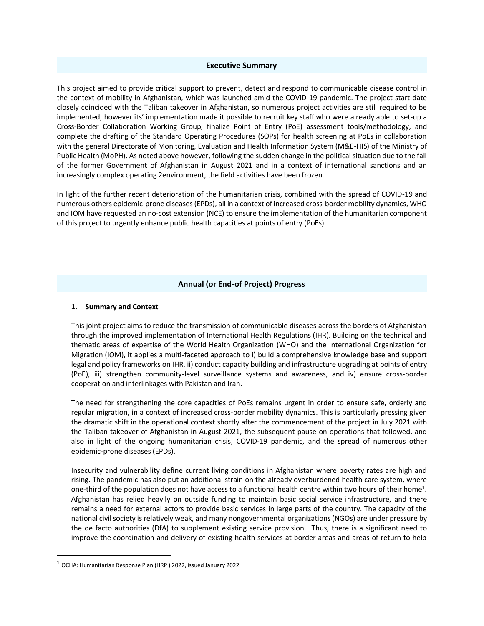#### **Executive Summary**

This project aimed to provide critical support to prevent, detect and respond to communicable disease control in the context of mobility in Afghanistan, which was launched amid the COVID-19 pandemic. The project start date closely coincided with the Taliban takeover in Afghanistan, so numerous project activities are still required to be implemented, however its' implementation made it possible to recruit key staff who were already able to set-up a Cross-Border Collaboration Working Group, finalize Point of Entry (PoE) assessment tools/methodology, and complete the drafting of the Standard Operating Procedures (SOPs) for health screening at PoEs in collaboration with the general Directorate of Monitoring, Evaluation and Health Information System (M&E-HIS) of the Ministry of Public Health (MoPH). As noted above however, following the sudden change in the political situation due to the fall of the former Government of Afghanistan in August 2021 and in a context of international sanctions and an increasingly complex operating 2environment, the field activities have been frozen.

In light of the further recent deterioration of the humanitarian crisis, combined with the spread of COVID-19 and numerous others epidemic-prone diseases (EPDs), all in a context of increased cross-border mobility dynamics, WHO and IOM have requested an no-cost extension (NCE) to ensure the implementation of the humanitarian component of this project to urgently enhance public health capacities at points of entry (PoEs).

# **Annual (or End-of Project) Progress**

#### **1. Summary and Context**

This joint project aims to reduce the transmission of communicable diseases across the borders of Afghanistan through the improved implementation of International Health Regulations (IHR). Building on the technical and thematic areas of expertise of the World Health Organization (WHO) and the International Organization for Migration (IOM), it applies a multi-faceted approach to i) build a comprehensive knowledge base and support legal and policy frameworks on IHR, ii) conduct capacity building and infrastructure upgrading at points of entry (PoE), iii) strengthen community-level surveillance systems and awareness, and iv) ensure cross-border cooperation and interlinkages with Pakistan and Iran.

The need for strengthening the core capacities of PoEs remains urgent in order to ensure safe, orderly and regular migration, in a context of increased cross-border mobility dynamics. This is particularly pressing given the dramatic shift in the operational context shortly after the commencement of the project in July 2021 with the Taliban takeover of Afghanistan in August 2021, the subsequent pause on operations that followed, and also in light of the ongoing humanitarian crisis, COVID-19 pandemic, and the spread of numerous other epidemic-prone diseases (EPDs).

Insecurity and vulnerability define current living conditions in Afghanistan where poverty rates are high and rising. The pandemic has also put an additional strain on the already overburdened health care system, where one-third of the population does not have access to a functional health centre within two hours of their home<sup>1</sup>. Afghanistan has relied heavily on outside funding to maintain basic social service infrastructure, and there remains a need for external actors to provide basic services in large parts of the country. The capacity of the national civil society is relatively weak, and many nongovernmental organizations (NGOs) are under pressure by the de facto authorities (DfA) to supplement existing service provision. Thus, there is a significant need to improve the coordination and delivery of existing health services at border areas and areas of return to help

<sup>1</sup> OCHA: Humanitarian Response Plan (HRP ) 2022, issued January 2022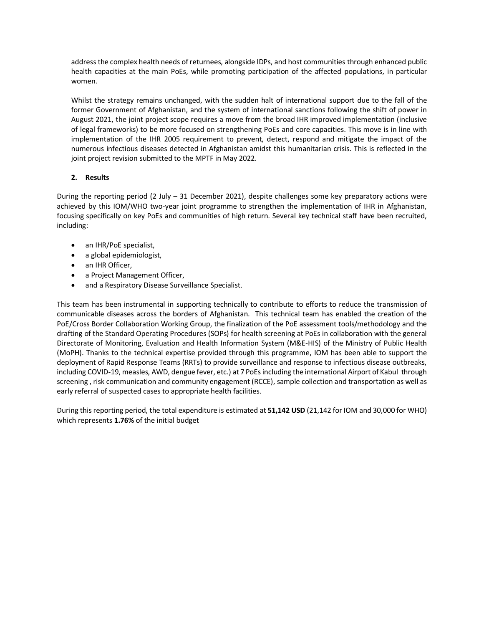address the complex health needs of returnees, alongside IDPs, and host communities through enhanced public health capacities at the main PoEs, while promoting participation of the affected populations, in particular women.

Whilst the strategy remains unchanged, with the sudden halt of international support due to the fall of the former Government of Afghanistan, and the system of international sanctions following the shift of power in August 2021, the joint project scope requires a move from the broad IHR improved implementation (inclusive of legal frameworks) to be more focused on strengthening PoEs and core capacities. This move is in line with implementation of the IHR 2005 requirement to prevent, detect, respond and mitigate the impact of the numerous infectious diseases detected in Afghanistan amidst this humanitarian crisis. This is reflected in the joint project revision submitted to the MPTF in May 2022.

# **2. Results**

During the reporting period (2 July – 31 December 2021), despite challenges some key preparatory actions were achieved by this IOM/WHO two-year joint programme to strengthen the implementation of IHR in Afghanistan, focusing specifically on key PoEs and communities of high return. Several key technical staff have been recruited, including:

- an IHR/PoE specialist,
- a global epidemiologist,
- an IHR Officer,
- a Project Management Officer,
- and a Respiratory Disease Surveillance Specialist.

This team has been instrumental in supporting technically to contribute to efforts to reduce the transmission of communicable diseases across the borders of Afghanistan. This technical team has enabled the creation of the PoE/Cross Border Collaboration Working Group, the finalization of the PoE assessment tools/methodology and the drafting of the Standard Operating Procedures (SOPs) for health screening at PoEs in collaboration with the general Directorate of Monitoring, Evaluation and Health Information System (M&E-HIS) of the Ministry of Public Health (MoPH). Thanks to the technical expertise provided through this programme, IOM has been able to support the deployment of Rapid Response Teams (RRTs) to provide surveillance and response to infectious disease outbreaks, including COVID-19, measles, AWD, dengue fever, etc.) at 7 PoEs including the international Airport of Kabul through screening , risk communication and community engagement (RCCE), sample collection and transportation as well as early referral of suspected cases to appropriate health facilities.

During this reporting period, the total expenditure is estimated at **51,142 USD** (21,142 for IOM and 30,000 for WHO) which represents **1.76%** of the initial budget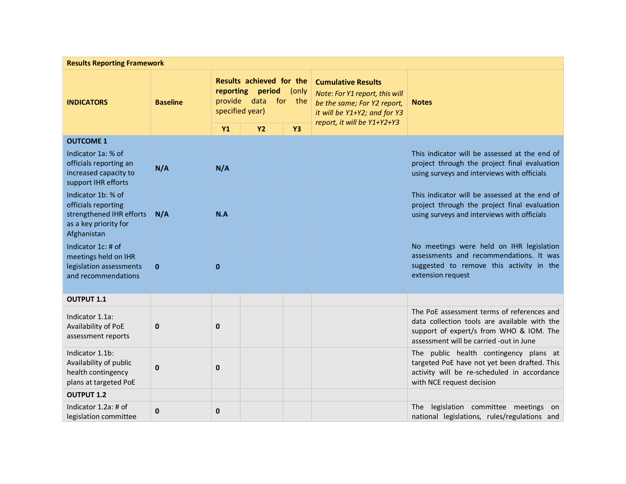| <b>Results Reporting Framework</b>                                                                            |                 |                                                                                                  |           |           |                                                                                                                            |                                                                                                                                                                                  |
|---------------------------------------------------------------------------------------------------------------|-----------------|--------------------------------------------------------------------------------------------------|-----------|-----------|----------------------------------------------------------------------------------------------------------------------------|----------------------------------------------------------------------------------------------------------------------------------------------------------------------------------|
| <b>INDICATORS</b>                                                                                             | <b>Baseline</b> | Results achieved for the<br>reporting period<br>(only<br>provide data for the<br>specified year) |           |           | <b>Cumulative Results</b><br>Note: For Y1 report, this will<br>be the same; For Y2 report,<br>it will be Y1+Y2; and for Y3 | <b>Notes</b>                                                                                                                                                                     |
|                                                                                                               |                 | <b>Y1</b>                                                                                        | <b>Y2</b> | <b>Y3</b> | report, it will be Y1+Y2+Y3                                                                                                |                                                                                                                                                                                  |
| <b>OUTCOME 1</b>                                                                                              |                 |                                                                                                  |           |           |                                                                                                                            |                                                                                                                                                                                  |
| Indicator 1a: % of<br>officials reporting an<br>increased capacity to<br>support IHR efforts                  | N/A             | N/A                                                                                              |           |           |                                                                                                                            | This indicator will be assessed at the end of<br>project through the project final evaluation<br>using surveys and interviews with officials                                     |
| Indicator 1b: % of<br>officials reporting<br>strengthened IHR efforts<br>as a key priority for<br>Afghanistan | N/A             | N.A                                                                                              |           |           |                                                                                                                            | This indicator will be assessed at the end of<br>project through the project final evaluation<br>using surveys and interviews with officials                                     |
| Indicator 1c: # of<br>meetings held on IHR<br>legislation assessments<br>and recommendations                  | $\mathbf{0}$    | 0                                                                                                |           |           |                                                                                                                            | No meetings were held on IHR legislation<br>assessments and recommendations. It was<br>suggested to remove this activity in the<br>extension request                             |
| <b>OUTPUT 1.1</b>                                                                                             |                 |                                                                                                  |           |           |                                                                                                                            |                                                                                                                                                                                  |
| Indicator 1.1a:<br>Availability of PoE<br>assessment reports                                                  | $\bf{0}$        | $\mathbf 0$                                                                                      |           |           |                                                                                                                            | The PoE assessment terms of references and<br>data collection tools are available with the<br>support of expert/s from WHO & IOM. The<br>assessment will be carried -out in June |
| Indicator 1.1b:<br>Availability of public<br>health contingency<br>plans at targeted PoE                      | $\bf{0}$        | 0                                                                                                |           |           |                                                                                                                            | The public health contingency plans at<br>targeted PoE have not yet been drafted. This<br>activity will be re-scheduled in accordance<br>with NCE request decision               |
| <b>OUTPUT 1.2</b>                                                                                             |                 |                                                                                                  |           |           |                                                                                                                            |                                                                                                                                                                                  |
| Indicator 1.2a: # of<br>legislation committee                                                                 | 0               | 0                                                                                                |           |           |                                                                                                                            | legislation committee meetings on<br>The l<br>national legislations, rules/regulations and                                                                                       |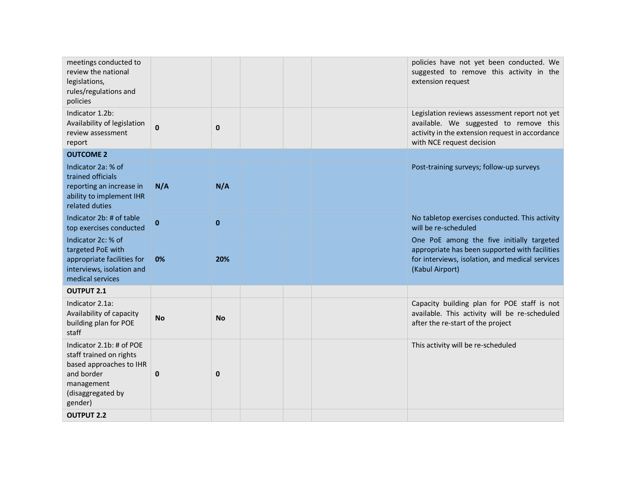| Legislation reviews assessment report not yet                                                                                                                     |
|-------------------------------------------------------------------------------------------------------------------------------------------------------------------|
| available. We suggested to remove this<br>activity in the extension request in accordance<br>with NCE request decision                                            |
|                                                                                                                                                                   |
| Post-training surveys; follow-up surveys                                                                                                                          |
| No tabletop exercises conducted. This activity<br>will be re-scheduled                                                                                            |
| One PoE among the five initially targeted<br>appropriate has been supported with facilities<br>for interviews, isolation, and medical services<br>(Kabul Airport) |
|                                                                                                                                                                   |
| Capacity building plan for POE staff is not<br>available. This activity will be re-scheduled<br>after the re-start of the project                                 |
| This activity will be re-scheduled                                                                                                                                |
|                                                                                                                                                                   |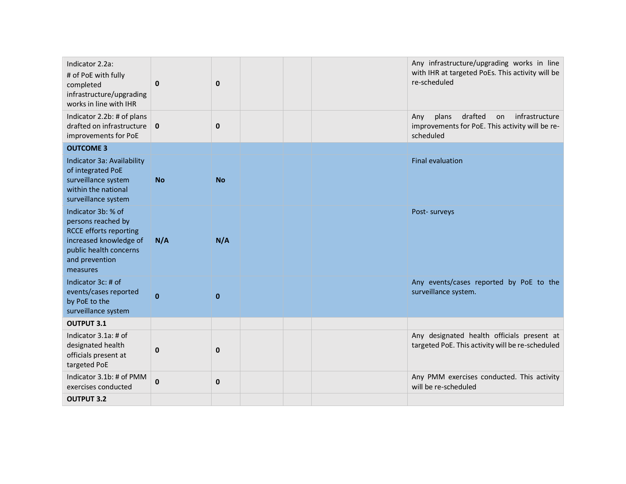| Indicator 2.2a:<br># of PoE with fully<br>completed<br>infrastructure/upgrading<br>works in line with IHR                                                   | $\mathbf 0$  | $\bf{0}$     | Any infrastructure/upgrading works in line<br>with IHR at targeted PoEs. This activity will be<br>re-scheduled  |
|-------------------------------------------------------------------------------------------------------------------------------------------------------------|--------------|--------------|-----------------------------------------------------------------------------------------------------------------|
| Indicator 2.2b: # of plans<br>drafted on infrastructure<br>improvements for PoE                                                                             | $\mathbf 0$  | $\pmb{0}$    | drafted<br>infrastructure<br>plans<br>Any<br>on<br>improvements for PoE. This activity will be re-<br>scheduled |
| <b>OUTCOME 3</b>                                                                                                                                            |              |              |                                                                                                                 |
| Indicator 3a: Availability<br>of integrated PoE<br>surveillance system<br>within the national<br>surveillance system                                        | <b>No</b>    | <b>No</b>    | <b>Final evaluation</b>                                                                                         |
| Indicator 3b: % of<br>persons reached by<br><b>RCCE efforts reporting</b><br>increased knowledge of<br>public health concerns<br>and prevention<br>measures | N/A          | N/A          | Post- surveys                                                                                                   |
| Indicator 3c: # of<br>events/cases reported<br>by PoE to the<br>surveillance system                                                                         | $\mathbf{0}$ | $\mathbf{0}$ | Any events/cases reported by PoE to the<br>surveillance system.                                                 |
| <b>OUTPUT 3.1</b>                                                                                                                                           |              |              |                                                                                                                 |
| Indicator 3.1a: # of<br>designated health<br>officials present at<br>targeted PoE                                                                           | 0            | $\mathbf 0$  | Any designated health officials present at<br>targeted PoE. This activity will be re-scheduled                  |
| Indicator 3.1b: # of PMM<br>exercises conducted                                                                                                             | 0            | $\pmb{0}$    | Any PMM exercises conducted. This activity<br>will be re-scheduled                                              |
| <b>OUTPUT 3.2</b>                                                                                                                                           |              |              |                                                                                                                 |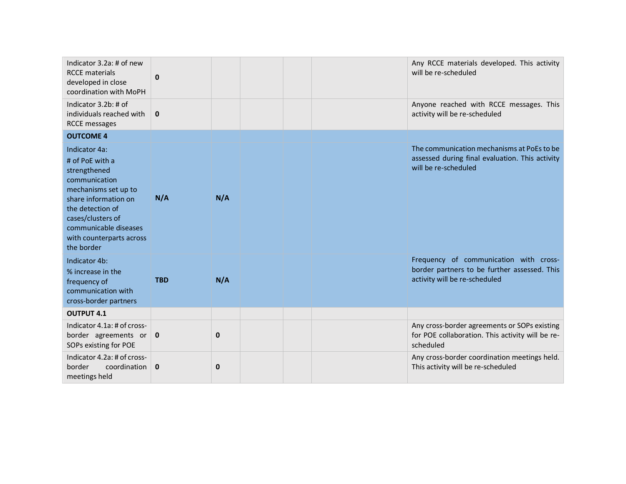| Indicator 3.2a: # of new<br><b>RCCE</b> materials<br>developed in close<br>coordination with MoPH                                                                                                                             | 0           |     |  | Any RCCE materials developed. This activity<br>will be re-scheduled                                                     |
|-------------------------------------------------------------------------------------------------------------------------------------------------------------------------------------------------------------------------------|-------------|-----|--|-------------------------------------------------------------------------------------------------------------------------|
| Indicator 3.2b: # of<br>individuals reached with<br><b>RCCE</b> messages                                                                                                                                                      | $\mathbf 0$ |     |  | Anyone reached with RCCE messages. This<br>activity will be re-scheduled                                                |
| <b>OUTCOME 4</b>                                                                                                                                                                                                              |             |     |  |                                                                                                                         |
| Indicator 4a:<br># of PoE with a<br>strengthened<br>communication<br>mechanisms set up to<br>share information on<br>the detection of<br>cases/clusters of<br>communicable diseases<br>with counterparts across<br>the border | N/A         | N/A |  | The communication mechanisms at PoEs to be<br>assessed during final evaluation. This activity<br>will be re-scheduled   |
| Indicator 4b:<br>% increase in the<br>frequency of<br>communication with<br>cross-border partners                                                                                                                             | <b>TBD</b>  | N/A |  | Frequency of communication with cross-<br>border partners to be further assessed. This<br>activity will be re-scheduled |
| <b>OUTPUT 4.1</b>                                                                                                                                                                                                             |             |     |  |                                                                                                                         |
| Indicator 4.1a: # of cross-<br>border agreements or $\vert$ 0<br>SOPs existing for POE                                                                                                                                        |             | 0   |  | Any cross-border agreements or SOPs existing<br>for POE collaboration. This activity will be re-<br>scheduled           |
| Indicator 4.2a: # of cross-<br>border<br>coordination  <br>meetings held                                                                                                                                                      | $\mathbf 0$ | 0   |  | Any cross-border coordination meetings held.<br>This activity will be re-scheduled                                      |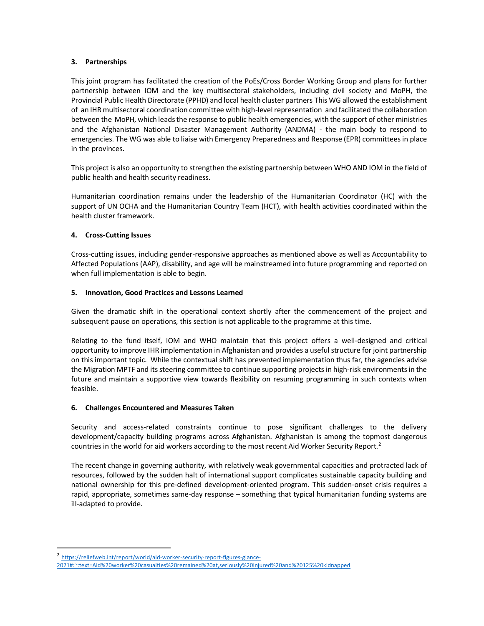#### **3. Partnerships**

This joint program has facilitated the creation of the PoEs/Cross Border Working Group and plans for further partnership between IOM and the key multisectoral stakeholders, including civil society and MoPH, the Provincial Public Health Directorate (PPHD) and local health cluster partners This WG allowed the establishment of an IHR multisectoral coordination committee with high-level representation and facilitated the collaboration between the MoPH, which leads the response to public health emergencies, with the support of other ministries and the Afghanistan National Disaster Management Authority (ANDMA) - the main body to respond to emergencies. The WG was able to liaise with Emergency Preparedness and Response (EPR) committees in place in the provinces.

This project is also an opportunity to strengthen the existing partnership between WHO AND IOM in the field of public health and health security readiness.

Humanitarian coordination remains under the leadership of the Humanitarian Coordinator (HC) with the support of UN OCHA and the Humanitarian Country Team (HCT), with health activities coordinated within the health cluster framework.

# **4. Cross-Cutting Issues**

Cross-cutting issues, including gender-responsive approaches as mentioned above as well as Accountability to Affected Populations (AAP), disability, and age will be mainstreamed into future programming and reported on when full implementation is able to begin.

#### **5. Innovation, Good Practices and Lessons Learned**

Given the dramatic shift in the operational context shortly after the commencement of the project and subsequent pause on operations, this section is not applicable to the programme at this time.

Relating to the fund itself, IOM and WHO maintain that this project offers a well-designed and critical opportunity to improve IHR implementation in Afghanistan and provides a useful structure for joint partnership on this important topic. While the contextual shift has prevented implementation thus far, the agencies advise the Migration MPTF and its steering committee to continue supporting projectsin high-risk environments in the future and maintain a supportive view towards flexibility on resuming programming in such contexts when feasible.

#### **6. Challenges Encountered and Measures Taken**

Security and access-related constraints continue to pose significant challenges to the delivery development/capacity building programs across Afghanistan. Afghanistan is among the topmost dangerous countries in the world for aid workers according to the most recent Aid Worker Security Report.<sup>2</sup>

The recent change in governing authority, with relatively weak governmental capacities and protracted lack of resources, followed by the sudden halt of international support complicates sustainable capacity building and national ownership for this pre-defined development-oriented program. This sudden-onset crisis requires a rapid, appropriate, sometimes same-day response – something that typical humanitarian funding systems are ill-adapted to provide.

<sup>&</sup>lt;sup>2</sup> [https://reliefweb.int/report/world/aid-worker-security-report-figures-glance-](https://reliefweb.int/report/world/aid-worker-security-report-figures-glance-2021#:~:text=Aid%20worker%20casualties%20remained%20at,seriously%20injured%20and%20125%20kidnapped)

[<sup>2021#:~:</sup>text=Aid%20worker%20casualties%20remained%20at,seriously%20injured%20and%20125%20kidnapped](https://reliefweb.int/report/world/aid-worker-security-report-figures-glance-2021#:~:text=Aid%20worker%20casualties%20remained%20at,seriously%20injured%20and%20125%20kidnapped)